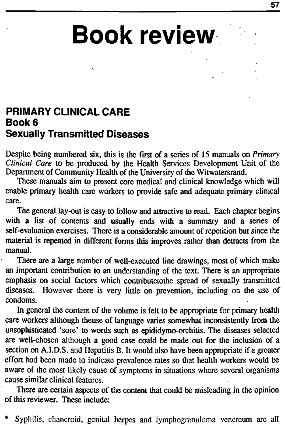## **Book review**

## **PRIMARY CLINICAL CARE Book 6 Sexually Transmitted Diseases**

Despite being numbered six, this is the first of a scries of 15 manuals on *Primary Clinical Care* to be produced by the Health Services Development Unit of the Department of Community Health of the University of the Witwatersrand.

These manuals aim to present core medical and clinical knowledge which will enable primary health care workers to provide safe and adequate primary clinical care.

The general lay-out is easy to follow and attractive to read. Each chapter begins with a list of contents and usually ends with a summary and a series of self-evaluation exercises. There is a considerable amount of repetition but since the material is repeated in different forms this improves rather than detracts from the manual.

There are a large number of well-executed line drawings, most of which make an important contribution to an understanding of the text. There is an appropriate emphasis on social factors which contributetothe spread of sexually transmitted diseases. However there is very little on prevention, including on the use of condoms.

In general the content of the volume is felt to be appropriate for primary health care workers although theuse of language varies somewhat inconsistently from the unsophisticated 'sore' to words such as epididymo-orchitis. The diseases selected are well-chosen although a good case could be made out for the inclusion of a section on A.I.D.S. and Hepatitis B. It would also have been appropriate if a greater effort had been made to indicate prevalence rates so that health workers would be aware of the most likely cause of symptoms in situations where several organisms cause similar clinical features.

There are certain aspects of the content that could be misleading in the opinion of this reviewer. These include:

Syphilis, chancroid, genital herpes and lymphogranuloma venereum are all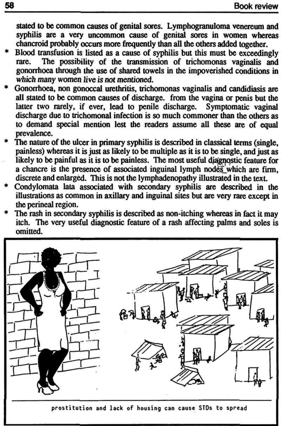stated to be common causes of genital sores. Lymphogranuloma venereum and syphilis are a very uncommon cause of genital sores in women whereas chancroid probably occurs more frequently than all the otters added together.

- Blood transfusion is listed as a cause of syphilis but this must be exceedingly rare. The possibility of the transmission of trichomonas vaginalis and gonorrhoea through the use of shared towels in the impoverished conditions in which many women live is not mentioned.
- Gonorrhoea, non gonoccal urethritis, trichomonas vaginalis and candidiasis are all stated to be common causes of discharge, from the vagina or penis but the latter two rarely, if ever, lead to penile discharge. Symptomatic vaginal discharge due to trichomonal infection is so much commoner than the others as to demand special mention lest the readers assume all these are of equal prevalence.
- The nature of the ulcer in primary syphilis is described in classical terms (single, painless) whereas it is just as likely to be multiple as it is to be single, and just as likely to be painful as it is to be painless. The most useful diagnostic feature for a chancre is the presence of associated inguinal lymph nodes which are firm, discrete and enlarged. This is not the lymphadenopathy illustrated in the text.
- Condylomata lata associated with secondary syphilis are described in the illustrations as common in axillary and inguinal sites but are very rare except in the perineal region.
- The rash in secondary syphilis is described as non-itching whereas in fact it may itch. The very useful diagnostic feature of a rash affecting palms and soles is omitted.

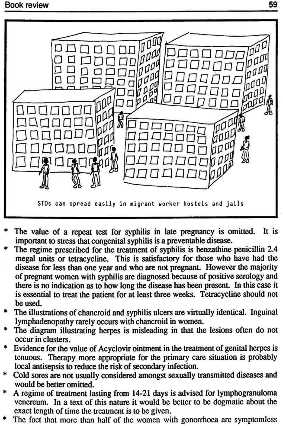

- The value of a repeat test for syphilis in late pregnancy is omitted. It is important to stress that congenital syphilis is a preventable disease.
- The regime prescribed for the treatment of syphilis is benzathine penicillin 2.4 megal units or tetracycline. This is satisfactory for those who have had the disease for less than one year and who are not pregnant. However the majority of pregnant women with syphilis are diagnosed because of positive serology and there is no indication as to how long the disease has been present. In this case it is essential to treat the patient for at least three weeks. Tetracycline should not be used.
- The illustrations of chancroid and syphilis ulcers are virtually identical. Inguinal
- lymphadenopathy rarely occurs with chancroid in women.
- The diagram illustrating herpes is misleading in that the lesions often do not occur in clusters.
- Evidence for the value of Acyclovir ointment in the treatment of genital herpes is tenuous. Therapy more appropriate for the primary care situation is probably local antisepsis to reduce the risk of secondary infection.
- \* Cold sores are not usually considered amongst sexually transmitted diseases and would be better omitted.
- \* A regime of treatment lasting from 14-21 days is advised for lymphogranuloma venereum. In a text of this nature it would be better to be dogmatic about the exact length of time the treatment is to be given.
- \* The fact that more than half of the women with gonorrhoea arc symptomless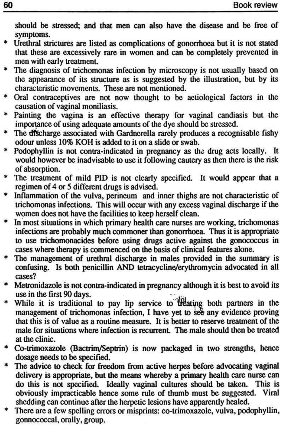should be stressed; and that men can also have the disease and be free of symptoms.

- Urethral strictures are listed as complications of gonorrhoea but it is not stated that these are excessively rare in women and can be completely prevented in men with early treatment.
- The diagnosis of trichomonas infection by microscopy is not usually based on the appearance of its structure as is suggested by the illustration, but by its characteristic movements. These are not mentioned.
- Oral contraceptives are not now thought to be actiological factors in the causation of vaginal moniliasis.
- \* Painting the vagina is an effective therapy for vaginal candiasis but the importance of using adequate amounts of the dye should be stressed.
- \* The discharge associated with Gardnerella rarely produces a recognisable fishy odour unless 10% KOH is added to it on a slide or swab.
- \* Podophyllin is not contra-indicated in pregnancy as the drug acts locally. It would however be inadvisable to use it following cautery as then there is the risk of absorption.
- \* The treatment of mild PID is not clearly specified. It would appear that a regimen of 4 or 5 different drugs is advised.
- \* Inflammation of the vulva, perineum and inner thighs are not characteristic of trichomonas infections. This will occur with any excess vaginal discharge if the women does not have the facilities to keep herself clean.
- In most situations in which primary health care nurses are working, trichomonas infections are probably much commoner than gonorrhoea. Thus it is appropriate to use trichomonacides before using drugs active against the gonococcus in cases where therapy is commenced on the basis of clinical features alone.
- The management of urethral discharge in males provided in the summary is confusing. Is both penicillin AND tetracycline/erythromycin advocated in all cases?
- \* Metronidazole is not contra-indicated in pregnancy although it is best to avoid its use in the first 90 days.
- While it is traditional to pay lip service to Treating both partners in the management of trichomonas infection, I have yet to see any evidence proving that this is of value as a routine measure. It is better to reserve treatment of the male for situations where infection is recurrent. The male should then be treated at the clinic. Co-trimoxazole (Bactrim/Septrin) is now packaged in two strengths, hence dosage needs to be specified. The advice to check for freedom from active herpes before advocating vaginal delivery is appropriate, but the means whereby a primary health care nurse can do this is not specified. Ideally vaginal cultures should be taken. This is obviously impracticable hence some rule of thumb must be suggested. Viral shedding can continue after the herpetic lesions have apparently healed. \* There arc a few spelling errors or misprints: co-trimoxazole, vulva, podophyllin, gonnococcal, orally, group.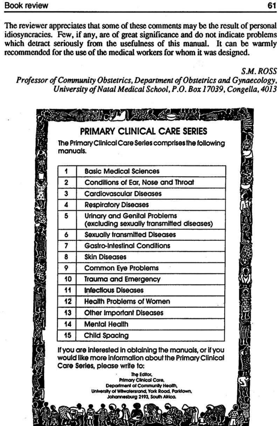## Book review 61

The reviewer appreciates that some of these comments may be the result of personal idiosyncracics. Few, if any, are of great significance and do not indicate problems which detract seriously from the usefulness of this manual. It can be warmly recommended for the use of the medical workers for whom it was designed.

*SM. ROSS* 

*Professor of Community Obstetrics, Department of Obstetrics and Gynaecology, University of Natal Medical School, P.O. Box 17039, Congella, 4013* 

| manuals. | The Primary Clinical Care Series comprises the following                         |
|----------|----------------------------------------------------------------------------------|
|          |                                                                                  |
|          | <b>Basic Medical Sciences</b>                                                    |
| 2        | Conditions of Ear, Nose and Throat                                               |
| 3        | <b>Cardiovascular Diseases</b>                                                   |
| 4        | <b>Respiratory Diseases</b>                                                      |
| 5        | <b>Urinary and Genital Problems</b><br>(excluding sexually transmitted diseases) |
| 6        | <b>Sexually transmitted Diseases</b>                                             |
|          | <b>Gastro-Intestinal Conditions</b>                                              |
| 8        | <b>Skin Diseases</b>                                                             |
| 9        | <b>Common Eye Problems</b>                                                       |
| 10       | <b>Trauma and Emergency</b>                                                      |
| 11       | <b>Infectious Diseases</b>                                                       |
| 12       | <b>Health Problems of Women</b>                                                  |
| 13       | <b>Other Important Diseases</b>                                                  |